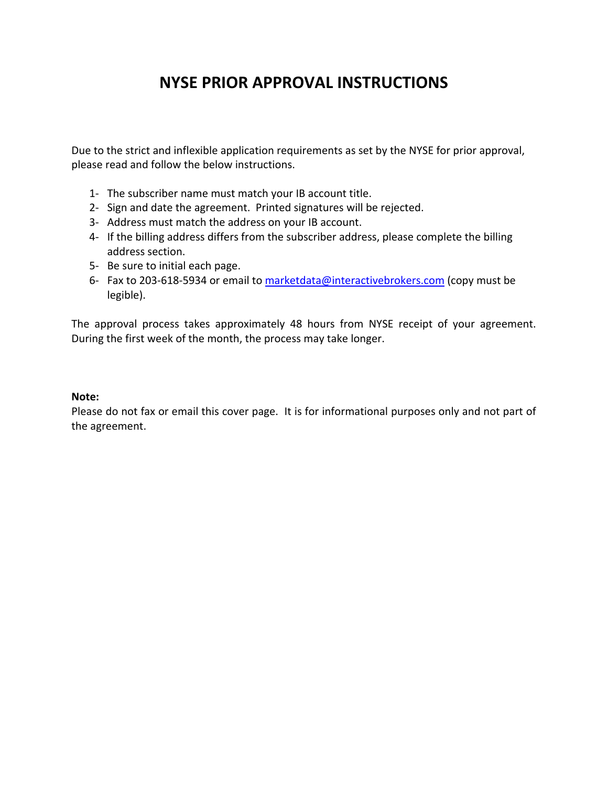# **NYSE PRIOR APPROVAL INSTRUCTIONS**

Due to the strict and inflexible application requirements as set by the NYSE for prior approval, please read and follow the below instructions.

- 1‐ The subscriber name must match your IB account title.
- 2‐ Sign and date the agreement. Printed signatures will be rejected.
- 3‐ Address must match the address on your IB account.
- 4‐ If the billing address differs from the subscriber address, please complete the billing address section.
- 5‐ Be sure to initial each page.
- 6‐ Fax to 203‐618‐5934 or email to marketdata@interactivebrokers.com (copy must be legible).

The approval process takes approximately 48 hours from NYSE receipt of your agreement. During the first week of the month, the process may take longer.

## **Note:**

Please do not fax or email this cover page. It is for informational purposes only and not part of the agreement.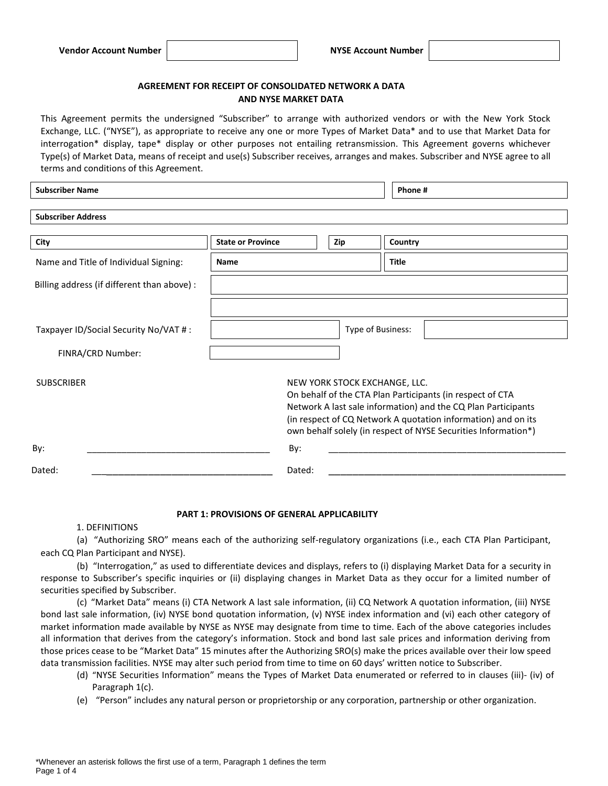## **AGREEMENT FOR RECEIPT OF CONSOLIDATED NETWORK A DATA AND NYSE MARKET DATA**

This Agreement permits the undersigned "Subscriber" to arrange with authorized vendors or with the New York Stock Exchange, LLC. ("NYSE"), as appropriate to receive any one or more Types of Market Data\* and to use that Market Data for interrogation\* display, tape\* display or other purposes not entailing retransmission. This Agreement governs whichever Type(s) of Market Data, means of receipt and use(s) Subscriber receives, arranges and makes. Subscriber and NYSE agree to all terms and conditions of this Agreement.

**Subscriber Name Phone #**

| <b>Subscriber Address</b>                   |                          |                               |                                                                                                                                                                                                                                                               |
|---------------------------------------------|--------------------------|-------------------------------|---------------------------------------------------------------------------------------------------------------------------------------------------------------------------------------------------------------------------------------------------------------|
| City                                        | <b>State or Province</b> | Zip                           | Country                                                                                                                                                                                                                                                       |
| Name and Title of Individual Signing:       | <b>Name</b>              |                               | Title                                                                                                                                                                                                                                                         |
| Billing address (if different than above) : |                          |                               |                                                                                                                                                                                                                                                               |
|                                             |                          |                               |                                                                                                                                                                                                                                                               |
| Taxpayer ID/Social Security No/VAT #:       |                          | Type of Business:             |                                                                                                                                                                                                                                                               |
| FINRA/CRD Number:                           |                          |                               |                                                                                                                                                                                                                                                               |
| <b>SUBSCRIBER</b>                           |                          | NEW YORK STOCK EXCHANGE, LLC. | On behalf of the CTA Plan Participants (in respect of CTA<br>Network A last sale information) and the CQ Plan Participants<br>(in respect of CQ Network A quotation information) and on its<br>own behalf solely (in respect of NYSE Securities Information*) |
| By:                                         | By:                      |                               |                                                                                                                                                                                                                                                               |
| Dated:                                      | Dated:                   |                               |                                                                                                                                                                                                                                                               |

#### **PART 1: PROVISIONS OF GENERAL APPLICABILITY**

### 1. DEFINITIONS

(a) "Authorizing SRO" means each of the authorizing self-regulatory organizations (i.e., each CTA Plan Participant, each CQ Plan Participant and NYSE).

(b) "Interrogation," as used to differentiate devices and displays, refers to (i) displaying Market Data for a security in response to Subscriber's specific inquiries or (ii) displaying changes in Market Data as they occur for a limited number of securities specified by Subscriber.

(c) "Market Data" means (i) CTA Network A last sale information, (ii) CQ Network A quotation information, (iii) NYSE bond last sale information, (iv) NYSE bond quotation information, (v) NYSE index information and (vi) each other category of market information made available by NYSE as NYSE may designate from time to time. Each of the above categories includes all information that derives from the category's information. Stock and bond last sale prices and information deriving from those prices cease to be "Market Data" 15 minutes after the Authorizing SRO(s) make the prices available over their low speed data transmission facilities. NYSE may alter such period from time to time on 60 days' written notice to Subscriber.

- (d) "NYSE Securities Information" means the Types of Market Data enumerated or referred to in clauses (iii)- (iv) of Paragraph 1(c).
- (e) "Person" includes any natural person or proprietorship or any corporation, partnership or other organization.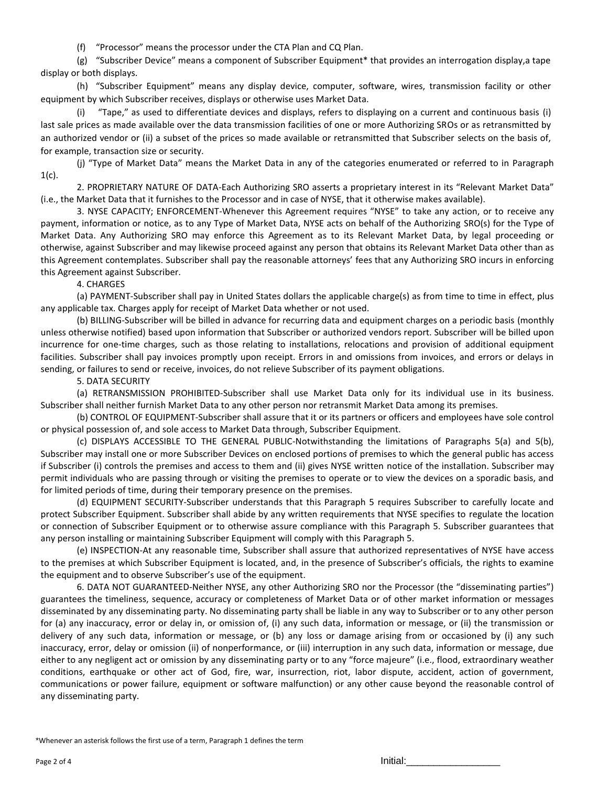(f) "Processor" means the processor under the CTA Plan and CQ Plan.

(g) "Subscriber Device" means a component of Subscriber Equipment\* that provides an interrogation display,a tape display or both displays.

(h) "Subscriber Equipment" means any display device, computer, software, wires, transmission facility or other equipment by which Subscriber receives, displays or otherwise uses Market Data.

(i) "Tape," as used to differentiate devices and displays, refers to displaying on a current and continuous basis (i) last sale prices as made available over the data transmission facilities of one or more Authorizing SROs or as retransmitted by an authorized vendor or (ii) a subset of the prices so made available or retransmitted that Subscriber selects on the basis of, for example, transaction size or security.

(j) "Type of Market Data" means the Market Data in any of the categories enumerated or referred to in Paragraph  $1(c)$ .

2. PROPRIETARY NATURE OF DATA-Each Authorizing SRO asserts a proprietary interest in its "Relevant Market Data" (i.e., the Market Data that it furnishes to the Processor and in case of NYSE, that it otherwise makes available).

3. NYSE CAPACITY; ENFORCEMENT-Whenever this Agreement requires "NYSE" to take any action, or to receive any payment, information or notice, as to any Type of Market Data, NYSE acts on behalf of the Authorizing SRO(s) for the Type of Market Data. Any Authorizing SRO may enforce this Agreement as to its Relevant Market Data, by legal proceeding or otherwise, against Subscriber and may likewise proceed against any person that obtains its Relevant Market Data other than as this Agreement contemplates. Subscriber shall pay the reasonable attorneys' fees that any Authorizing SRO incurs in enforcing this Agreement against Subscriber.

4. CHARGES

(a) PAYMENT-Subscriber shall pay in United States dollars the applicable charge(s) as from time to time in effect, plus any applicable tax. Charges apply for receipt of Market Data whether or not used.

(b) BILLING-Subscriber will be billed in advance for recurring data and equipment charges on a periodic basis (monthly unless otherwise notified) based upon information that Subscriber or authorized vendors report. Subscriber will be billed upon incurrence for one-time charges, such as those relating to installations, relocations and provision of additional equipment facilities. Subscriber shall pay invoices promptly upon receipt. Errors in and omissions from invoices, and errors or delays in sending, or failures to send or receive, invoices, do not relieve Subscriber of its payment obligations.

5. DATA SECURITY

(a) RETRANSMISSION PROHIBITED-Subscriber shall use Market Data only for its individual use in its business. Subscriber shall neither furnish Market Data to any other person nor retransmit Market Data among its premises.

(b) CONTROL OF EQUIPMENT-Subscriber shall assure that it or its partners or officers and employees have sole control or physical possession of, and sole access to Market Data through, Subscriber Equipment.

(c) DISPLAYS ACCESSIBLE TO THE GENERAL PUBLIC-Notwithstanding the limitations of Paragraphs 5(a) and 5(b), Subscriber may install one or more Subscriber Devices on enclosed portions of premises to which the general public has access if Subscriber (i) controls the premises and access to them and (ii) gives NYSE written notice of the installation. Subscriber may permit individuals who are passing through or visiting the premises to operate or to view the devices on a sporadic basis, and for limited periods of time, during their temporary presence on the premises.

(d) EQUIPMENT SECURITY-Subscriber understands that this Paragraph 5 requires Subscriber to carefully locate and protect Subscriber Equipment. Subscriber shall abide by any written requirements that NYSE specifies to regulate the location or connection of Subscriber Equipment or to otherwise assure compliance with this Paragraph 5. Subscriber guarantees that any person installing or maintaining Subscriber Equipment will comply with this Paragraph 5.

(e) INSPECTION-At any reasonable time, Subscriber shall assure that authorized representatives of NYSE have access to the premises at which Subscriber Equipment is located, and, in the presence of Subscriber's officials, the rights to examine the equipment and to observe Subscriber's use of the equipment.

6. DATA NOT GUARANTEED-Neither NYSE, any other Authorizing SRO nor the Processor (the "disseminating parties") guarantees the timeliness, sequence, accuracy or completeness of Market Data or of other market information or messages disseminated by any disseminating party. No disseminating party shall be liable in any way to Subscriber or to any other person for (a) any inaccuracy, error or delay in, or omission of, (i) any such data, information or message, or (ii) the transmission or delivery of any such data, information or message, or (b) any loss or damage arising from or occasioned by (i) any such inaccuracy, error, delay or omission (ii) of nonperformance, or (iii) interruption in any such data, information or message, due either to any negligent act or omission by any disseminating party or to any "force majeure" (i.e., flood, extraordinary weather conditions, earthquake or other act of God, fire, war, insurrection, riot, labor dispute, accident, action of government, communications or power failure, equipment or software malfunction) or any other cause beyond the reasonable control of any disseminating party.

\*Whenever an asterisk follows the first use of a term, Paragraph 1 defines the term

Page 2 of 4 Initial:\_\_\_\_\_\_\_\_\_\_\_\_\_\_\_\_\_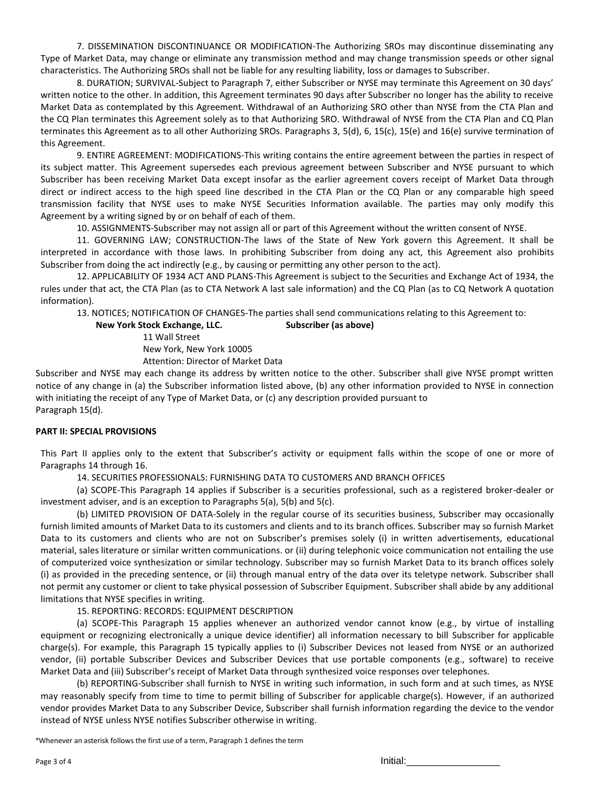7. DISSEMINATION DISCONTINUANCE OR MODIFICATION-The Authorizing SROs may discontinue disseminating any Type of Market Data, may change or eliminate any transmission method and may change transmission speeds or other signal characteristics. The Authorizing SROs shall not be liable for any resulting liability, loss or damages to Subscriber.

8. DURATION; SURVIVAL-Subject to Paragraph 7, either Subscriber or NYSE may terminate this Agreement on 30 days' written notice to the other. In addition, this Agreement terminates 90 days after Subscriber no longer has the ability to receive Market Data as contemplated by this Agreement. Withdrawal of an Authorizing SRO other than NYSE from the CTA Plan and the CQ Plan terminates this Agreement solely as to that Authorizing SRO. Withdrawal of NYSE from the CTA Plan and CQ Plan terminates this Agreement as to all other Authorizing SROs. Paragraphs 3, 5(d), 6, 15(c), 15(e) and 16(e) survive termination of this Agreement.

9. ENTIRE AGREEMENT: MODIFICATIONS-This writing contains the entire agreement between the parties in respect of its subject matter. This Agreement supersedes each previous agreement between Subscriber and NYSE pursuant to which Subscriber has been receiving Market Data except insofar as the earlier agreement covers receipt of Market Data through direct or indirect access to the high speed line described in the CTA Plan or the CQ Plan or any comparable high speed transmission facility that NYSE uses to make NYSE Securities Information available. The parties may only modify this Agreement by a writing signed by or on behalf of each of them.

10. ASSIGNMENTS-Subscriber may not assign all or part of this Agreement without the written consent of NYSE.

11. GOVERNING LAW; CONSTRUCTION-The laws of the State of New York govern this Agreement. It shall be interpreted in accordance with those laws. In prohibiting Subscriber from doing any act, this Agreement also prohibits Subscriber from doing the act indirectly (e.g., by causing or permitting any other person to the act).

12. APPLICABILITY OF 1934 ACT AND PLANS-This Agreement is subject to the Securities and Exchange Act of 1934, the rules under that act, the CTA Plan (as to CTA Network A last sale information) and the CQ Plan (as to CQ Network A quotation information).

13. NOTICES; NOTIFICATION OF CHANGES-The parties shall send communications relating to this Agreement to:

**New York Stock Exchange, LLC. Subscriber (as above)**

11 Wall Street

New York, New York 10005

Attention: Director of Market Data

Subscriber and NYSE may each change its address by written notice to the other. Subscriber shall give NYSE prompt written notice of any change in (a) the Subscriber information listed above, (b) any other information provided to NYSE in connection with initiating the receipt of any Type of Market Data, or (c) any description provided pursuant to Paragraph 15(d).

#### **PART II: SPECIAL PROVISIONS**

This Part II applies only to the extent that Subscriber's activity or equipment falls within the scope of one or more of Paragraphs 14 through 16.

14. SECURITIES PROFESSIONALS: FURNISHING DATA TO CUSTOMERS AND BRANCH OFFICES

(a) SCOPE-This Paragraph 14 applies if Subscriber is a securities professional, such as a registered broker-dealer or investment adviser, and is an exception to Paragraphs 5(a), 5(b) and 5(c).

(b) LIMITED PROVISION OF DATA-Solely in the regular course of its securities business, Subscriber may occasionally furnish limited amounts of Market Data to its customers and clients and to its branch offices. Subscriber may so furnish Market Data to its customers and clients who are not on Subscriber's premises solely (i) in written advertisements, educational material, sales literature or similar written communications. or (ii) during telephonic voice communication not entailing the use of computerized voice synthesization or similar technology. Subscriber may so furnish Market Data to its branch offices solely (i) as provided in the preceding sentence, or (ii) through manual entry of the data over its teletype network. Subscriber shall not permit any customer or client to take physical possession of Subscriber Equipment. Subscriber shall abide by any additional limitations that NYSE specifies in writing.

15. REPORTING: RECORDS: EQUIPMENT DESCRIPTION

(a) SCOPE-This Paragraph 15 applies whenever an authorized vendor cannot know (e.g., by virtue of installing equipment or recognizing electronically a unique device identifier) all information necessary to bill Subscriber for applicable charge(s). For example, this Paragraph 15 typically applies to (i) Subscriber Devices not leased from NYSE or an authorized vendor, (ii) portable Subscriber Devices and Subscriber Devices that use portable components (e.g., software) to receive Market Data and (iii) Subscriber's receipt of Market Data through synthesized voice responses over telephones.

(b) REPORTING-Subscriber shall furnish to NYSE in writing such information, in such form and at such times, as NYSE may reasonably specify from time to time to permit billing of Subscriber for applicable charge(s). However, if an authorized vendor provides Market Data to any Subscriber Device, Subscriber shall furnish information regarding the device to the vendor instead of NYSE unless NYSE notifies Subscriber otherwise in writing.

\*Whenever an asterisk follows the first use of a term, Paragraph 1 defines the term

Page 3 of 4 Initial:\_\_\_\_\_\_\_\_\_\_\_\_\_\_\_\_\_